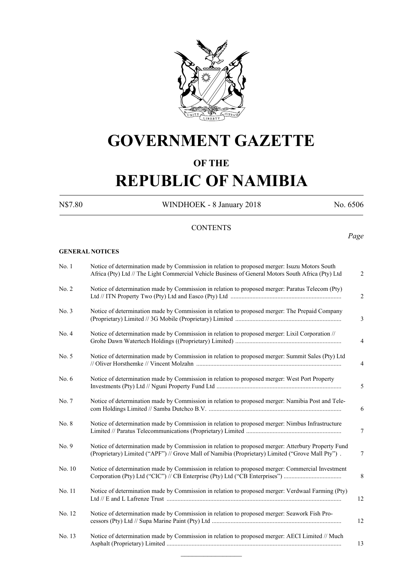

## **GOVERNMENT GAZETTE**

### **OF THE**

# **REPUBLIC OF NAMIBIA**

N\$7.80 WINDHOEK - 8 January 2018 No. 6506

*Page*

### **CONTENTS**

### **GENERAL NOTICES**

| No.1   | Notice of determination made by Commission in relation to proposed merger: Isuzu Motors South<br>Africa (Pty) Ltd // The Light Commercial Vehicle Business of General Motors South Africa (Pty) Ltd    | 2              |
|--------|--------------------------------------------------------------------------------------------------------------------------------------------------------------------------------------------------------|----------------|
| No. 2  | Notice of determination made by Commission in relation to proposed merger: Paratus Telecom (Pty)                                                                                                       | $\overline{c}$ |
| No. 3  | Notice of determination made by Commission in relation to proposed merger: The Prepaid Company                                                                                                         | 3              |
| No. 4  | Notice of determination made by Commission in relation to proposed merger: Lixil Corporation //                                                                                                        | $\overline{4}$ |
| No. 5  | Notice of determination made by Commission in relation to proposed merger: Summit Sales (Pty) Ltd                                                                                                      | 4              |
| No. 6  | Notice of determination made by Commission in relation to proposed merger: West Port Property                                                                                                          | 5              |
| No. 7  | Notice of determination made by Commission in relation to proposed merger: Namibia Post and Tele-                                                                                                      | 6              |
| No. 8  | Notice of determination made by Commission in relation to proposed merger: Nimbus Infrastructure                                                                                                       | 7              |
| No. 9  | Notice of determination made by Commission in relation to proposed merger: Atterbury Property Fund<br>(Proprietary) Limited ("APF") // Grove Mall of Namibia (Proprietary) Limited ("Grove Mall Pty"). | $\tau$         |
| No. 10 | Notice of determination made by Commission in relation to proposed merger: Commercial Investment<br>Corporation (Pty) Ltd ("CIC") // CB Enterprise (Pty) Ltd ("CB Enterprises")                        | 8              |
| No. 11 | Notice of determination made by Commission in relation to proposed merger: Verdwaal Farming (Pty)                                                                                                      | 12             |
| No. 12 | Notice of determination made by Commission in relation to proposed merger: Seawork Fish Pro-                                                                                                           | 12             |
| No. 13 | Notice of determination made by Commission in relation to proposed merger: AECI Limited // Much                                                                                                        | 13             |
|        |                                                                                                                                                                                                        |                |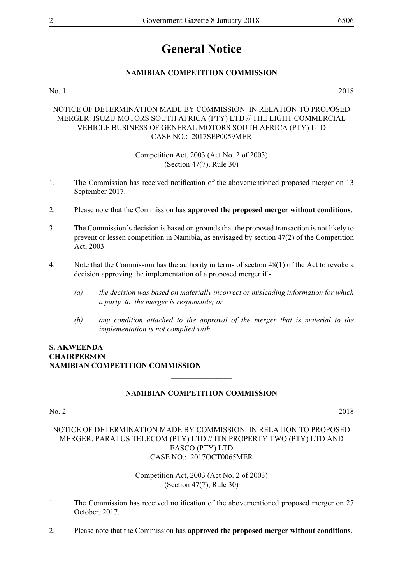## **General Notice**

### **NAMIBIAN COMPETITION COMMISSION**

No. 1 2018

### NOTICE OF DETERMINATION MADE BY COMMISSION IN RELATION TO PROPOSED MERGER: ISUZU MOTORS SOUTH AFRICA (PTY) LTD // THE LIGHT COMMERCIAL VEHICLE BUSINESS OF GENERAL MOTORS SOUTH AFRICA (PTY) LTD CASE NO.: 2017SEP0059MER

Competition Act, 2003 (Act No. 2 of 2003) (Section 47(7), Rule 30)

- 1. The Commission has received notification of the abovementioned proposed merger on 13 September 2017.
- 2. Please note that the Commission has **approved the proposed merger without conditions**.
- 3. The Commission's decision is based on grounds that the proposed transaction is not likely to prevent or lessen competition in Namibia, as envisaged by section 47(2) of the Competition Act, 2003.
- 4. Note that the Commission has the authority in terms of section 48(1) of the Act to revoke a decision approving the implementation of a proposed merger if -
	- *(a) the decision was based on materially incorrect or misleading information for which a party to the merger is responsible; or*
	- *(b) any condition attached to the approval of the merger that is material to the implementation is not complied with.*

### **S. Akweenda Chairperson Namibian Competition Commission**

### **NAMIBIAN COMPETITION COMMISSION**

 $\overline{\phantom{a}}$  , where  $\overline{\phantom{a}}$ 

### No. 2 2018

### NOTICE OF DETERMINATION MADE BY COMMISSION IN RELATION TO PROPOSED MERGER: PARATUS TELECOM (PTY) LTD // ITN PROPERTY TWO (PTY) LTD AND EASCO (PTY) LTD CASE NO.: 2017OCT0065MER

- 1. The Commission has received notification of the abovementioned proposed merger on 27 October, 2017.
- 2. Please note that the Commission has **approved the proposed merger without conditions**.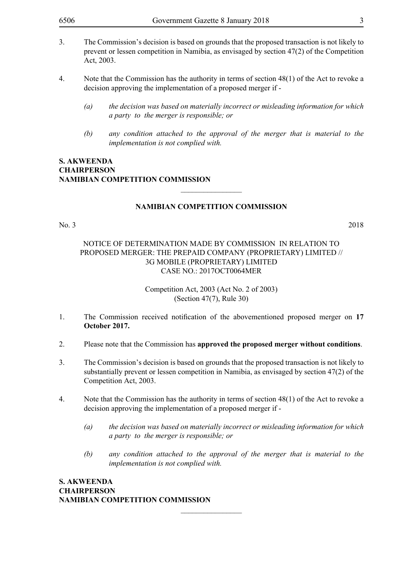- 3. The Commission's decision is based on grounds that the proposed transaction is not likely to prevent or lessen competition in Namibia, as envisaged by section 47(2) of the Competition Act, 2003.
- 4. Note that the Commission has the authority in terms of section 48(1) of the Act to revoke a decision approving the implementation of a proposed merger if -
	- *(a) the decision was based on materially incorrect or misleading information for which a party to the merger is responsible; or*
	- *(b) any condition attached to the approval of the merger that is material to the implementation is not complied with.*

### **NAMIBIAN COMPETITION COMMISSION**

 $\overline{\phantom{a}}$  , where  $\overline{\phantom{a}}$ 

No. 3 2018

### NOTICE OF DETERMINATION MADE BY COMMISSION IN RELATION TO PROPOSED MERGER: THE PREPAID COMPANY (PROPRIETARY) LIMITED // 3G MOBILE (PROPRIETARY) LIMITED CASE NO.: 2017OCT0064MER

Competition Act, 2003 (Act No. 2 of 2003) (Section 47(7), Rule 30)

- 1. The Commission received notification of the abovementioned proposed merger on **17 October 2017.**
- 2. Please note that the Commission has **approved the proposed merger without conditions**.
- 3. The Commission's decision is based on grounds that the proposed transaction is not likely to substantially prevent or lessen competition in Namibia, as envisaged by section 47(2) of the Competition Act, 2003.
- 4. Note that the Commission has the authority in terms of section 48(1) of the Act to revoke a decision approving the implementation of a proposed merger if -

 $\frac{1}{2}$ 

- *(a) the decision was based on materially incorrect or misleading information for which a party to the merger is responsible; or*
- *(b) any condition attached to the approval of the merger that is material to the implementation is not complied with.*

**S. Akweenda Chairperson Namibian Competition Commission**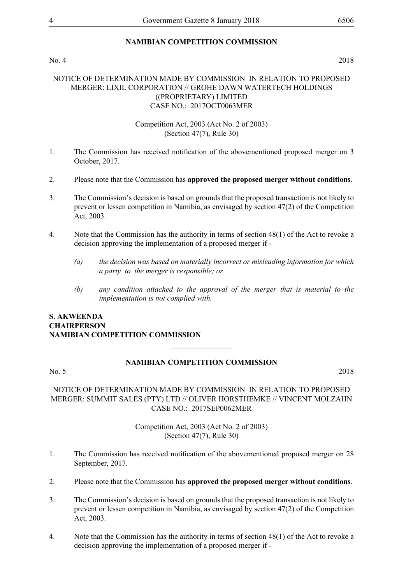### **NAMIBIAN COMPETITION COMMISSION**

### No. 4 2018

### NOTICE OF DETERMINATION MADE BY COMMISSION IN RELATION TO PROPOSED MERGER: LIXIL CORPORATION // GROHE DAWN WATERTECH HOLDINGS ((PROPRIETARY) LIMITED CASE NO.: 2017OCT0063MER

### Competition Act, 2003 (Act No. 2 of 2003) (Section 47(7), Rule 30)

- 1. The Commission has received notification of the abovementioned proposed merger on 3 October, 2017.
- 2. Please note that the Commission has **approved the proposed merger without conditions**.
- 3. The Commission's decision is based on grounds that the proposed transaction is not likely to prevent or lessen competition in Namibia, as envisaged by section 47(2) of the Competition Act, 2003.
- 4. Note that the Commission has the authority in terms of section 48(1) of the Act to revoke a decision approving the implementation of a proposed merger if -
	- *(a) the decision was based on materially incorrect or misleading information for which a party to the merger is responsible; or*
	- *(b) any condition attached to the approval of the merger that is material to the implementation is not complied with.*

### **S. Akweenda Chairperson Namibian Competition Commission**  $\overline{\phantom{a}}$  , where  $\overline{\phantom{a}}$

### **NAMIBIAN COMPETITION COMMISSION**

No. 5 2018

### NOTICE OF DETERMINATION MADE BY COMMISSION IN RELATION TO PROPOSED MERGER: SUMMIT SALES (PTY) LTD // OLIVER HORSTHEMKE // VINCENT MOLZAHN CASE NO.: 2017SEP0062MER

- 1. The Commission has received notification of the abovementioned proposed merger on 28 September, 2017.
- 2. Please note that the Commission has **approved the proposed merger without conditions**.
- 3. The Commission's decision is based on grounds that the proposed transaction is not likely to prevent or lessen competition in Namibia, as envisaged by section 47(2) of the Competition Act, 2003.
- 4. Note that the Commission has the authority in terms of section 48(1) of the Act to revoke a decision approving the implementation of a proposed merger if -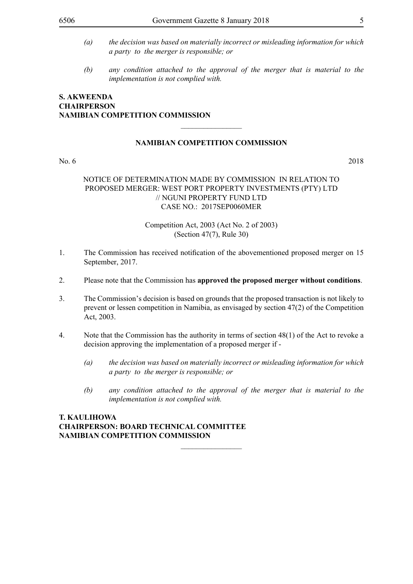- 
- *(a) the decision was based on materially incorrect or misleading information for which a party to the merger is responsible; or*
- *(b) any condition attached to the approval of the merger that is material to the implementation is not complied with.*

### **NAMIBIAN COMPETITION COMMISSION**

 $\frac{1}{2}$ 

No. 6 2018

### NOTICE OF DETERMINATION MADE BY COMMISSION IN RELATION TO PROPOSED MERGER: WEST PORT PROPERTY INVESTMENTS (PTY) LTD // NGUNI PROPERTY FUND LTD CASE NO.: 2017SEP0060MER

### Competition Act, 2003 (Act No. 2 of 2003) (Section 47(7), Rule 30)

- 1. The Commission has received notification of the abovementioned proposed merger on 15 September, 2017.
- 2. Please note that the Commission has **approved the proposed merger without conditions**.
- 3. The Commission's decision is based on grounds that the proposed transaction is not likely to prevent or lessen competition in Namibia, as envisaged by section 47(2) of the Competition Act, 2003.
- 4. Note that the Commission has the authority in terms of section 48(1) of the Act to revoke a decision approving the implementation of a proposed merger if -

 $\overline{\phantom{a}}$  , where  $\overline{\phantom{a}}$ 

- *(a) the decision was based on materially incorrect or misleading information for which a party to the merger is responsible; or*
- *(b) any condition attached to the approval of the merger that is material to the implementation is not complied with.*

### **T. KAULIHOWA Chairperson: BOARD TECHNICAL COMMITTEE Namibian Competition Commission**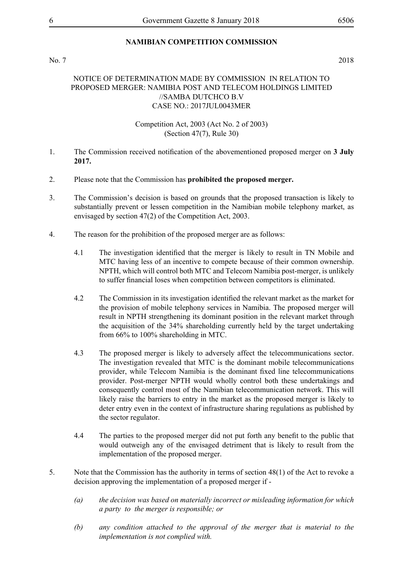### **NAMIBIAN COMPETITION COMMISSION**

### No. 7 2018

### NOTICE OF DETERMINATION MADE BY COMMISSION IN RELATION TO PROPOSED MERGER: NAMIBIA POST AND TELECOM HOLDINGS LIMITED //SAMBA DUTCHCO B.V CASE NO.: 2017JUL0043MER

- 1. The Commission received notification of the abovementioned proposed merger on **3 July 2017.**
- 2. Please note that the Commission has **prohibited the proposed merger.**
- 3. The Commission's decision is based on grounds that the proposed transaction is likely to substantially prevent or lessen competition in the Namibian mobile telephony market, as envisaged by section 47(2) of the Competition Act, 2003.
- 4. The reason for the prohibition of the proposed merger are as follows:
	- 4.1 The investigation identified that the merger is likely to result in TN Mobile and MTC having less of an incentive to compete because of their common ownership. NPTH, which will control both MTC and Telecom Namibia post-merger, is unlikely to suffer financial loses when competition between competitors is eliminated.
	- 4.2 The Commission in its investigation identified the relevant market as the market for the provision of mobile telephony services in Namibia. The proposed merger will result in NPTH strengthening its dominant position in the relevant market through the acquisition of the 34% shareholding currently held by the target undertaking from 66% to 100% shareholding in MTC.
	- 4.3 The proposed merger is likely to adversely affect the telecommunications sector. The investigation revealed that MTC is the dominant mobile telecommunications provider, while Telecom Namibia is the dominant fixed line telecommunications provider. Post-merger NPTH would wholly control both these undertakings and consequently control most of the Namibian telecommunication network. This will likely raise the barriers to entry in the market as the proposed merger is likely to deter entry even in the context of infrastructure sharing regulations as published by the sector regulator.
	- 4.4 The parties to the proposed merger did not put forth any benefit to the public that would outweigh any of the envisaged detriment that is likely to result from the implementation of the proposed merger.
- 5. Note that the Commission has the authority in terms of section 48(1) of the Act to revoke a decision approving the implementation of a proposed merger if -
	- *(a) the decision was based on materially incorrect or misleading information for which a party to the merger is responsible; or*
	- *(b) any condition attached to the approval of the merger that is material to the implementation is not complied with.*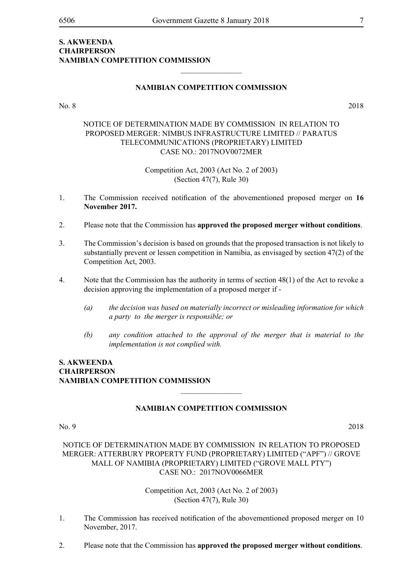### **NAMIBIAN COMPETITION COMMISSION**

No. 8 2018

### NOTICE OF DETERMINATION MADE BY COMMISSION IN RELATION TO PROPOSED MERGER: NIMBUS INFRASTRUCTURE LIMITED // PARATUS TELECOMMUNICATIONS (PROPRIETARY) LIMITED CASE NO.: 2017NOV0072MER

Competition Act, 2003 (Act No. 2 of 2003) (Section 47(7), Rule 30)

- 1. The Commission received notification of the abovementioned proposed merger on **16 November 2017.**
- 2. Please note that the Commission has **approved the proposed merger without conditions**.
- 3. The Commission's decision is based on grounds that the proposed transaction is not likely to substantially prevent or lessen competition in Namibia, as envisaged by section 47(2) of the Competition Act, 2003.
- 4. Note that the Commission has the authority in terms of section 48(1) of the Act to revoke a decision approving the implementation of a proposed merger if -
	- *(a) the decision was based on materially incorrect or misleading information for which a party to the merger is responsible; or*
	- *(b) any condition attached to the approval of the merger that is material to the implementation is not complied with.*

### **S. Akweenda Chairperson Namibian Competition Commission**

### **NAMIBIAN COMPETITION COMMISSION**

 $\overline{\phantom{a}}$  , where  $\overline{\phantom{a}}$ 

No. 9 2018

NOTICE OF DETERMINATION MADE BY COMMISSION IN RELATION TO PROPOSED MERGER: ATTERBURY PROPERTY FUND (PROPRIETARY) LIMITED ("APF") // GROVE MALL OF NAMIBIA (PROPRIETARY) LIMITED ("GROVE MALL PTY") CASE NO.: 2017NOV0066MER

- 1. The Commission has received notification of the abovementioned proposed merger on 10 November, 2017.
- 2. Please note that the Commission has **approved the proposed merger without conditions**.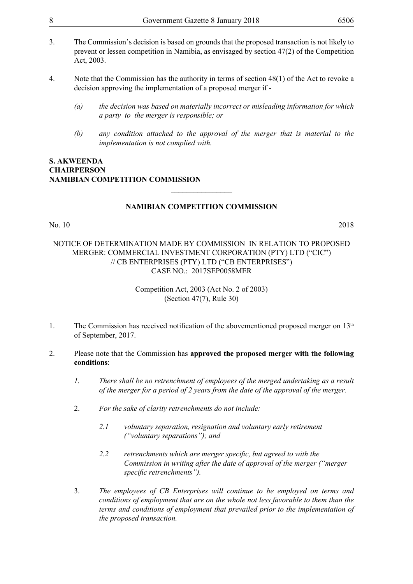- 3. The Commission's decision is based on grounds that the proposed transaction is not likely to prevent or lessen competition in Namibia, as envisaged by section 47(2) of the Competition Act, 2003.
- 4. Note that the Commission has the authority in terms of section 48(1) of the Act to revoke a decision approving the implementation of a proposed merger if -
	- *(a) the decision was based on materially incorrect or misleading information for which a party to the merger is responsible; or*
	- *(b) any condition attached to the approval of the merger that is material to the implementation is not complied with.*

### **NAMIBIAN COMPETITION COMMISSION**

 $\overline{\phantom{a}}$  , where  $\overline{\phantom{a}}$ 

### No. 10 2018

### NOTICE OF DETERMINATION MADE BY COMMISSION IN RELATION TO PROPOSED MERGER: COMMERCIAL INVESTMENT CORPORATION (PTY) LTD ("CIC") // CB ENTERPRISES (PTY) LTD ("CB ENTERPRISES") CASE NO.: 2017SEP0058MER

- 1. The Commission has received notification of the abovementioned proposed merger on  $13<sup>th</sup>$ of September, 2017.
- 2. Please note that the Commission has **approved the proposed merger with the following conditions**:
	- *1. There shall be no retrenchment of employees of the merged undertaking as a result of the merger for a period of 2 years from the date of the approval of the merger.*
	- 2. *For the sake of clarity retrenchments do not include:* 
		- *2.1 voluntary separation, resignation and voluntary early retirement ("voluntary separations"); and*
		- *2.2 retrenchments which are merger specific, but agreed to with the Commission in writing after the date of approval of the merger ("merger specific retrenchments").*
	- 3. *The employees of CB Enterprises will continue to be employed on terms and conditions of employment that are on the whole not less favorable to them than the terms and conditions of employment that prevailed prior to the implementation of the proposed transaction.*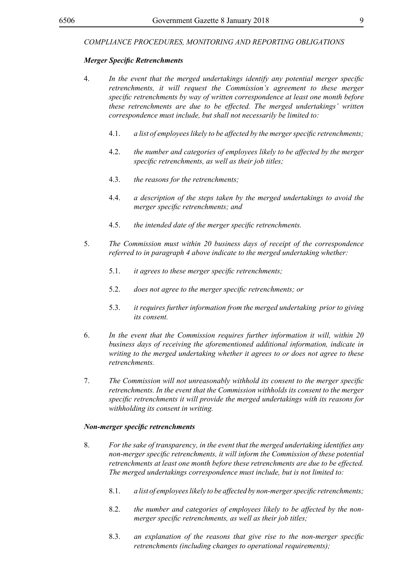### *Merger Specific Retrenchments*

- 4. *In the event that the merged undertakings identify any potential merger specific retrenchments, it will request the Commission's agreement to these merger specific retrenchments by way of written correspondence at least one month before these retrenchments are due to be effected. The merged undertakings' written correspondence must include, but shall not necessarily be limited to:*
	- 4.1. *a list of employeeslikely to be affected by the mergerspecific retrenchments;*
	- 4.2. *the number and categories of employees likely to be affected by the merger specific retrenchments, as well as their job titles;*
	- 4.3. *the reasons for the retrenchments;*
	- 4.4. *a description of the steps taken by the merged undertakings to avoid the merger specific retrenchments; and*
	- 4.5. *the intended date of the merger specific retrenchments.*
- 5. *The Commission must within 20 business days of receipt of the correspondence referred to in paragraph 4 above indicate to the merged undertaking whether:*
	- 5.1. *it agrees to these merger specific retrenchments;*
	- 5.2. *does not agree to the merger specific retrenchments; or*
	- 5.3. *it requires further information from the merged undertaking prior to giving its consent.*
- 6. *In the event that the Commission requires further information it will, within 20 business days of receiving the aforementioned additional information, indicate in writing to the merged undertaking whether it agrees to or does not agree to these retrenchments.*
- 7. *The Commission will not unreasonably withhold its consent to the merger specific retrenchments. In the event that the Commission withholds its consent to the merger specific retrenchments it will provide the merged undertakings with its reasons for withholding its consent in writing.*

### *Non-merger specific retrenchments*

- 8. *For the sake of transparency, in the event that the merged undertaking identifies any non-merger specific retrenchments, it will inform the Commission of these potential retrenchments at least one month before these retrenchments are due to be effected. The merged undertakings correspondence must include, but is not limited to:* 
	- 8.1. *a list of employeeslikely to be affected by non-mergerspecific retrenchments;*
	- 8.2. *the number and categories of employees likely to be affected by the nonmerger specific retrenchments, as well as their job titles;*
	- 8.3. *an explanation of the reasons that give rise to the non-merger specific retrenchments (including changes to operational requirements);*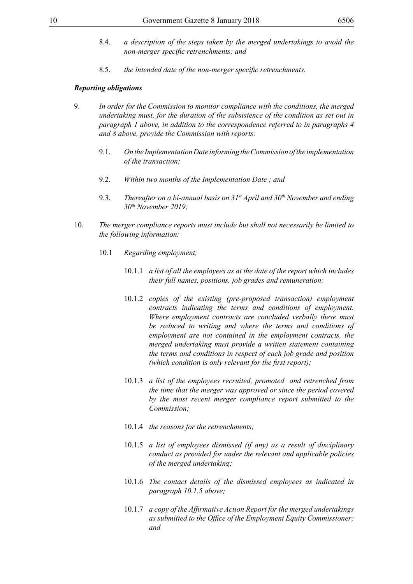- 8.4. *a description of the steps taken by the merged undertakings to avoid the non-merger specific retrenchments; and*
- 8.5. *the intended date of the non-merger specific retrenchments.*

### *Reporting obligations*

- 9. *In order for the Commission to monitor compliance with the conditions, the merged undertaking must, for the duration of the subsistence of the condition as set out in paragraph 1 above, in addition to the correspondence referred to in paragraphs 4 and 8 above, provide the Commission with reports:*
	- 9.1. *On the Implementation Date informing the Commission of the implementation of the transaction;*
	- 9.2. *Within two months of the Implementation Date ; and*
	- 9.3. *Thereafter on a bi-annual basis on 31st April and 30<sup>th</sup> November and ending 30th November 2019;*
- 10. *The merger compliance reports must include but shall not necessarily be limited to the following information:*
	- 10.1 *Regarding employment;*
		- 10.1.1 *a list of all the employees as at the date of the report which includes their full names, positions, job grades and remuneration;*
		- 10.1.2 *copies of the existing (pre-proposed transaction) employment contracts indicating the terms and conditions of employment. Where employment contracts are concluded verbally these must be reduced to writing and where the terms and conditions of employment are not contained in the employment contracts, the merged undertaking must provide a written statement containing the terms and conditions in respect of each job grade and position (which condition is only relevant for the first report);*
		- 10.1.3 *a list of the employees recruited, promoted and retrenched from the time that the merger was approved or since the period covered by the most recent merger compliance report submitted to the Commission;*
		- 10.1.4 *the reasons for the retrenchments;*
		- 10.1.5 *a list of employees dismissed (if any) as a result of disciplinary conduct as provided for under the relevant and applicable policies of the merged undertaking;*
		- 10.1.6 *The contact details of the dismissed employees as indicated in paragraph 10.1.5 above;*
		- 10.1.7 *a copy of the Affirmative Action Report for the merged undertakings as submitted to the Office of the Employment Equity Commissioner; and*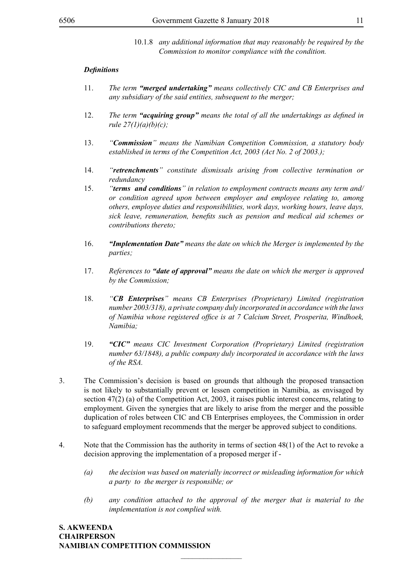10.1.8 *any additional information that may reasonably be required by the Commission to monitor compliance with the condition.*

### *Definitions*

- 11. *The term "merged undertaking" means collectively CIC and CB Enterprises and any subsidiary of the said entities, subsequent to the merger;*
- 12. *The term "acquiring group" means the total of all the undertakings as defined in rule 27(1)(a)(b)(c);*
- 13. *"Commission" means the Namibian Competition Commission, a statutory body established in terms of the Competition Act, 2003 (Act No. 2 of 2003.);*
- 14. *"retrenchments" constitute dismissals arising from collective termination or redundancy*
- 15. *"terms and conditions" in relation to employment contracts means any term and/ or condition agreed upon between employer and employee relating to, among others, employee duties and responsibilities, work days, working hours, leave days, sick leave, remuneration, benefits such as pension and medical aid schemes or contributions thereto;*
- 16. *"Implementation Date" means the date on which the Merger is implemented by the parties;*
- 17. *References to "date of approval" means the date on which the merger is approved by the Commission;*
- 18. *"CB Enterprises" means CB Enterprises (Proprietary) Limited (registration number 2003/318), a private company duly incorporated in accordance with the laws of Namibia whose registered office is at 7 Calcium Street, Prosperita, Windhoek, Namibia;*
- 19. *"CIC" means CIC Investment Corporation (Proprietary) Limited (registration number 63/1848), a public company duly incorporated in accordance with the laws of the RSA.*
- 3. The Commission's decision is based on grounds that although the proposed transaction is not likely to substantially prevent or lessen competition in Namibia, as envisaged by section 47(2) (a) of the Competition Act, 2003, it raises public interest concerns, relating to employment. Given the synergies that are likely to arise from the merger and the possible duplication of roles between CIC and CB Enterprises employees, the Commission in order to safeguard employment recommends that the merger be approved subject to conditions.
- 4. Note that the Commission has the authority in terms of section 48(1) of the Act to revoke a decision approving the implementation of a proposed merger if -

 $\frac{1}{2}$ 

- *(a) the decision was based on materially incorrect or misleading information for which a party to the merger is responsible; or*
- *(b) any condition attached to the approval of the merger that is material to the implementation is not complied with.*

**S. Akweenda Chairperson Namibian Competition Commission**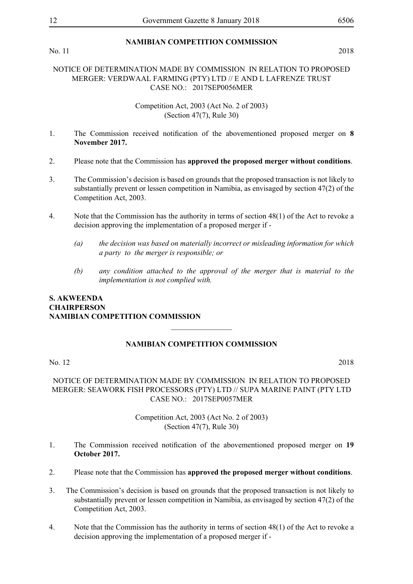No. 11 2018

### **NAMIBIAN COMPETITION COMMISSION**

### NOTICE OF DETERMINATION MADE BY COMMISSION IN RELATION TO PROPOSED MERGER: VERDWAAL FARMING (PTY) LTD // E AND L LAFRENZE TRUST CASE NO.: 2017SEP0056MER

### Competition Act, 2003 (Act No. 2 of 2003) (Section 47(7), Rule 30)

- 1. The Commission received notification of the abovementioned proposed merger on **8 November 2017.**
- 2. Please note that the Commission has **approved the proposed merger without conditions**.
- 3. The Commission's decision is based on grounds that the proposed transaction is not likely to substantially prevent or lessen competition in Namibia, as envisaged by section 47(2) of the Competition Act, 2003.
- 4. Note that the Commission has the authority in terms of section 48(1) of the Act to revoke a decision approving the implementation of a proposed merger if -
	- *(a) the decision was based on materially incorrect or misleading information for which a party to the merger is responsible; or*
	- *(b) any condition attached to the approval of the merger that is material to the implementation is not complied with.*

### **S. Akweenda Chairperson Namibian Competition Commission**

### **NAMIBIAN COMPETITION COMMISSION**

 $\frac{1}{2}$ 

No. 12 2018

NOTICE OF DETERMINATION MADE BY COMMISSION IN RELATION TO PROPOSED MERGER: SEAWORK FISH PROCESSORS (PTY) LTD // SUPA MARINE PAINT (PTY LTD CASE NO.: 2017SEP0057MER

- 1. The Commission received notification of the abovementioned proposed merger on **19 October 2017.**
- 2. Please note that the Commission has **approved the proposed merger without conditions**.
- 3. The Commission's decision is based on grounds that the proposed transaction is not likely to substantially prevent or lessen competition in Namibia, as envisaged by section 47(2) of the Competition Act, 2003.
- 4. Note that the Commission has the authority in terms of section 48(1) of the Act to revoke a decision approving the implementation of a proposed merger if -